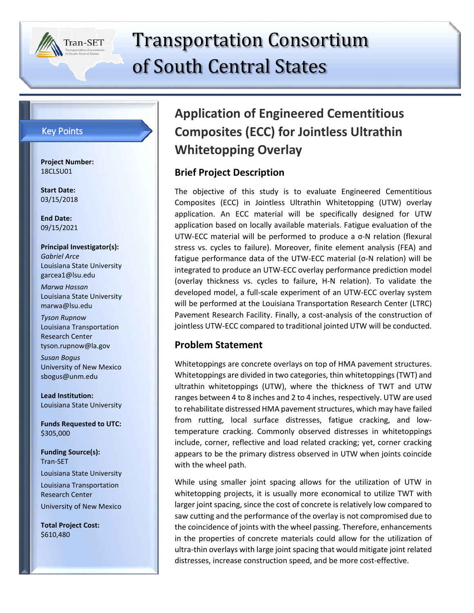

# Transportation Consortium of South Central States

#### Key Points

**Project Number:** 18CLSU01

**Start Date:** 03/15/2018

**End Date:** 09/15/2021

**Principal Investigator(s):** *Gabriel Arce* Louisiana State University garcea1@lsu.edu

*Marwa Hassan* Louisiana State University marwa@lsu.edu

*Tyson Rupnow* Louisiana Transportation Research Center tyson.rupnow@la.gov

*Susan Bogus* University of New Mexico sbogus@unm.edu

**Lead Institution:** Louisiana State University

**Funds Requested to UTC:** \$305,000

**Funding Source(s):** Tran-SET Louisiana State University Louisiana Transportation Research Center University of New Mexico

**Total Project Cost:** \$610,480

# **Application of Engineered Cementitious Composites (ECC) for Jointless Ultrathin Whitetopping Overlay**

# **Brief Project Description**

The objective of this study is to evaluate Engineered Cementitious Composites (ECC) in Jointless Ultrathin Whitetopping (UTW) overlay application. An ECC material will be specifically designed for UTW application based on locally available materials. Fatigue evaluation of the UTW-ECC material will be performed to produce a σ-N relation (flexural stress vs. cycles to failure). Moreover, finite element analysis (FEA) and fatigue performance data of the UTW-ECC material (σ-N relation) will be integrated to produce an UTW-ECC overlay performance prediction model (overlay thickness vs. cycles to failure, H-N relation). To validate the developed model, a full-scale experiment of an UTW-ECC overlay system will be performed at the Louisiana Transportation Research Center (LTRC) Pavement Research Facility. Finally, a cost-analysis of the construction of jointless UTW-ECC compared to traditional jointed UTW will be conducted.

#### **Problem Statement**

Whitetoppings are concrete overlays on top of HMA pavement structures. Whitetoppings are divided in two categories, thin whitetoppings (TWT) and ultrathin whitetoppings (UTW), where the thickness of TWT and UTW ranges between 4 to 8 inches and 2 to 4 inches, respectively. UTW are used to rehabilitate distressed HMA pavement structures, which may have failed from rutting, local surface distresses, fatigue cracking, and lowtemperature cracking. Commonly observed distresses in whitetoppings include, corner, reflective and load related cracking; yet, corner cracking appears to be the primary distress observed in UTW when joints coincide with the wheel path.

While using smaller joint spacing allows for the utilization of UTW in whitetopping projects, it is usually more economical to utilize TWT with larger joint spacing, since the cost of concrete is relatively low compared to saw cutting and the performance of the overlay is not compromised due to the coincidence of joints with the wheel passing. Therefore, enhancements in the properties of concrete materials could allow for the utilization of ultra-thin overlays with large joint spacing that would mitigate joint related distresses, increase construction speed, and be more cost-effective.